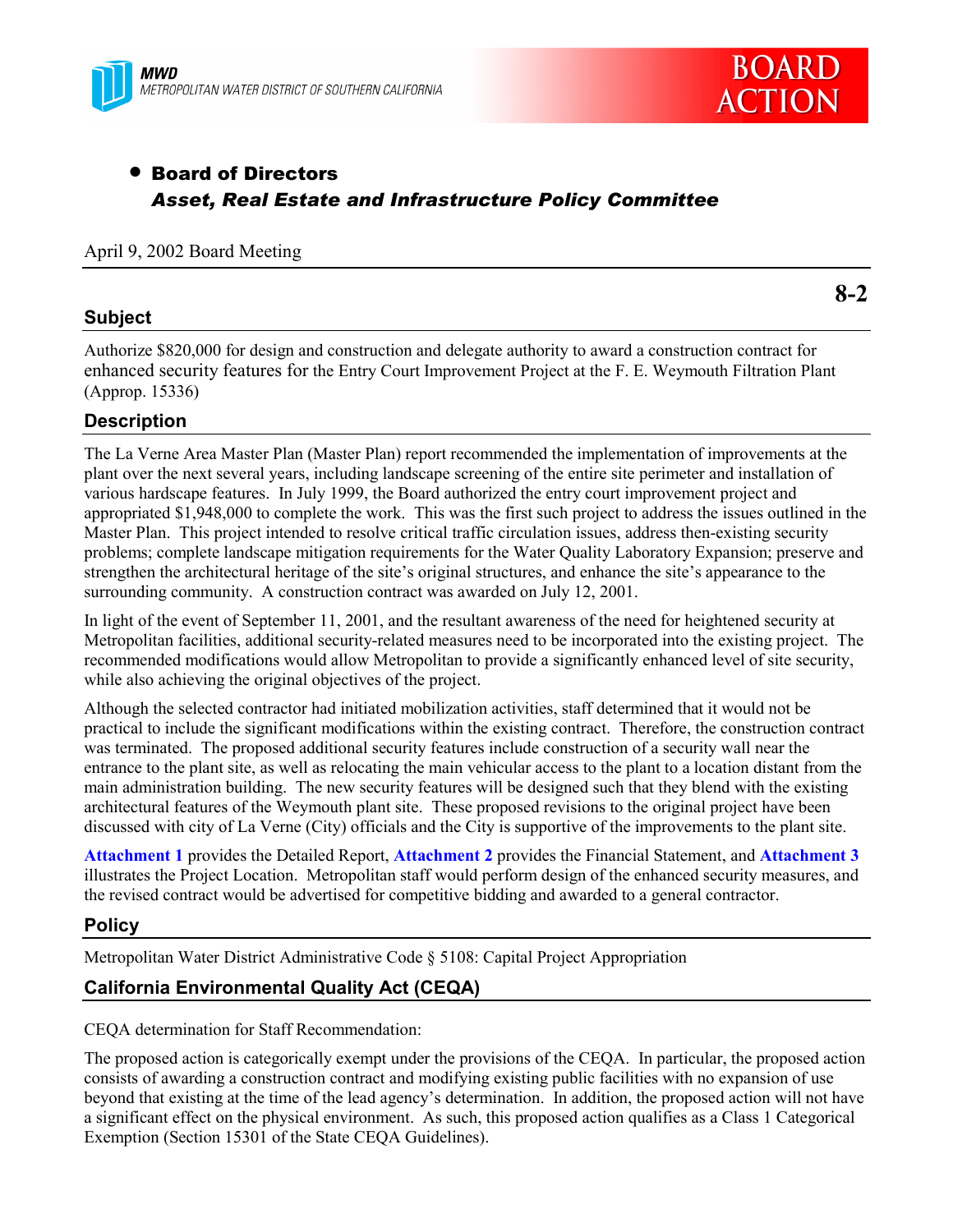



# • Board of Directors *Asset, Real Estate and Infrastructure Policy Committee*

#### April 9, 2002 Board Meeting

## **Subject**

**8-2**

Authorize \$820,000 for design and construction and delegate authority to award a construction contract for enhanced security features for the Entry Court Improvement Project at the F. E. Weymouth Filtration Plant (Approp. 15336)

# **Description**

The La Verne Area Master Plan (Master Plan) report recommended the implementation of improvements at the plant over the next several years, including landscape screening of the entire site perimeter and installation of various hardscape features. In July 1999, the Board authorized the entry court improvement project and appropriated \$1,948,000 to complete the work. This was the first such project to address the issues outlined in the Master Plan. This project intended to resolve critical traffic circulation issues, address then-existing security problems; complete landscape mitigation requirements for the Water Quality Laboratory Expansion; preserve and strengthen the architectural heritage of the site's original structures, and enhance the site's appearance to the surrounding community. A construction contract was awarded on July 12, 2001.

In light of the event of September 11, 2001, and the resultant awareness of the need for heightened security at Metropolitan facilities, additional security-related measures need to be incorporated into the existing project. The recommended modifications would allow Metropolitan to provide a significantly enhanced level of site security, while also achieving the original objectives of the project.

Although the selected contractor had initiated mobilization activities, staff determined that it would not be practical to include the significant modifications within the existing contract. Therefore, the construction contract was terminated. The proposed additional security features include construction of a security wall near the entrance to the plant site, as well as relocating the main vehicular access to the plant to a location distant from the main administration building. The new security features will be designed such that they blend with the existing architectural features of the Weymouth plant site. These proposed revisions to the original project have been discussed with city of La Verne (City) officials and the City is supportive of the improvements to the plant site.

**Attachment 1** provides the Detailed Report, **Attachment 2** provides the Financial Statement, and **Attachment 3** illustrates the Project Location. Metropolitan staff would perform design of the enhanced security measures, and the revised contract would be advertised for competitive bidding and awarded to a general contractor.

#### **Policy**

Metropolitan Water District Administrative Code § 5108: Capital Project Appropriation

# **California Environmental Quality Act (CEQA)**

CEQA determination for Staff Recommendation:

The proposed action is categorically exempt under the provisions of the CEQA. In particular, the proposed action consists of awarding a construction contract and modifying existing public facilities with no expansion of use beyond that existing at the time of the lead agency's determination. In addition, the proposed action will not have a significant effect on the physical environment. As such, this proposed action qualifies as a Class 1 Categorical Exemption (Section 15301 of the State CEQA Guidelines).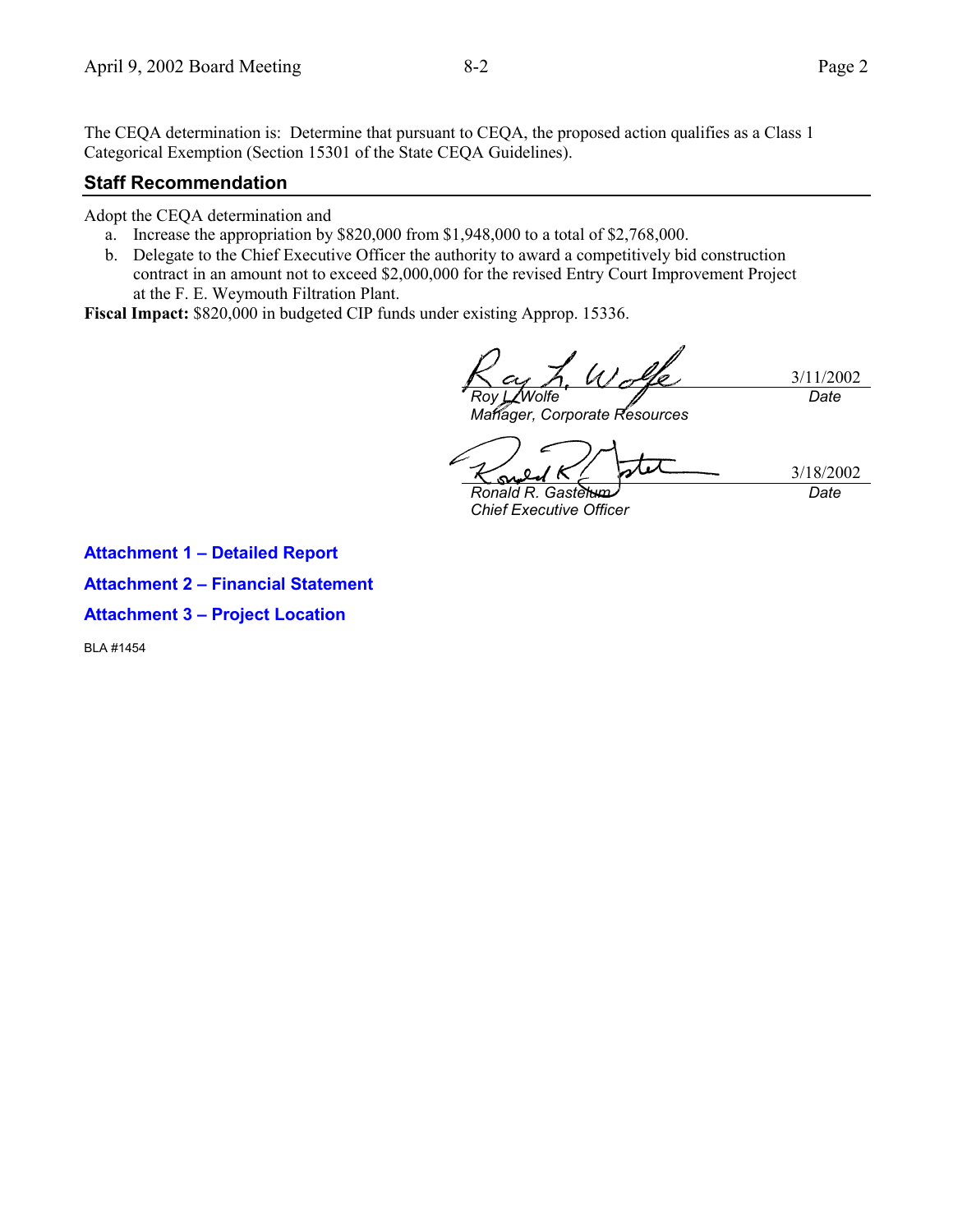The CEQA determination is: Determine that pursuant to CEQA, the proposed action qualifies as a Class 1 Categorical Exemption (Section 15301 of the State CEQA Guidelines).

## **Staff Recommendation**

Adopt the CEQA determination and

- a. Increase the appropriation by \$820,000 from \$1,948,000 to a total of \$2,768,000.
- b. Delegate to the Chief Executive Officer the authority to award a competitively bid construction contract in an amount not to exceed \$2,000,000 for the revised Entry Court Improvement Project at the F. E. Weymouth Filtration Plant.

**Fiscal Impact:** \$820,000 in budgeted CIP funds under existing Approp. 15336.

3/11/2002 *Roy L. Wolfe Date*

*Manager, Corporate Resources*

3/18/2002 *Date*

*Ronald R. Gastelum Chief Executive Officer*

**Attachment 1 – Detailed Report**

**Attachment 2 – Financial Statement**

**Attachment 3 – Project Location**

BLA #1454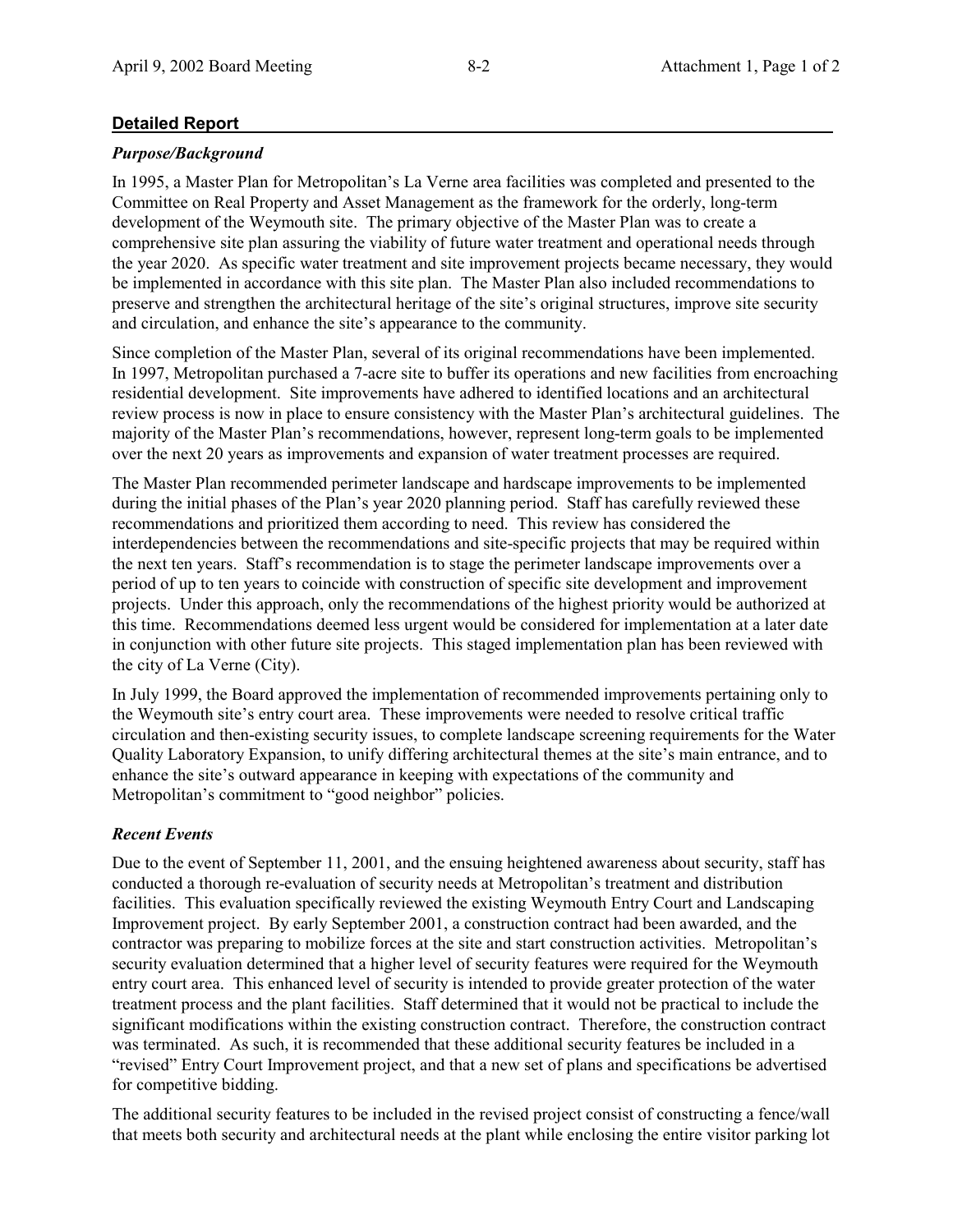## **Detailed Report**

#### *Purpose/Background*

In 1995, a Master Plan for Metropolitan's La Verne area facilities was completed and presented to the Committee on Real Property and Asset Management as the framework for the orderly, long-term development of the Weymouth site. The primary objective of the Master Plan was to create a comprehensive site plan assuring the viability of future water treatment and operational needs through the year 2020. As specific water treatment and site improvement projects became necessary, they would be implemented in accordance with this site plan. The Master Plan also included recommendations to preserve and strengthen the architectural heritage of the site's original structures, improve site security and circulation, and enhance the site's appearance to the community.

Since completion of the Master Plan, several of its original recommendations have been implemented. In 1997, Metropolitan purchased a 7-acre site to buffer its operations and new facilities from encroaching residential development. Site improvements have adhered to identified locations and an architectural review process is now in place to ensure consistency with the Master Plan's architectural guidelines. The majority of the Master Plan's recommendations, however, represent long-term goals to be implemented over the next 20 years as improvements and expansion of water treatment processes are required.

The Master Plan recommended perimeter landscape and hardscape improvements to be implemented during the initial phases of the Plan's year 2020 planning period. Staff has carefully reviewed these recommendations and prioritized them according to need. This review has considered the interdependencies between the recommendations and site-specific projects that may be required within the next ten years. Staff's recommendation is to stage the perimeter landscape improvements over a period of up to ten years to coincide with construction of specific site development and improvement projects. Under this approach, only the recommendations of the highest priority would be authorized at this time. Recommendations deemed less urgent would be considered for implementation at a later date in conjunction with other future site projects. This staged implementation plan has been reviewed with the city of La Verne (City).

In July 1999, the Board approved the implementation of recommended improvements pertaining only to the Weymouth site's entry court area. These improvements were needed to resolve critical traffic circulation and then-existing security issues, to complete landscape screening requirements for the Water Quality Laboratory Expansion, to unify differing architectural themes at the site's main entrance, and to enhance the site's outward appearance in keeping with expectations of the community and Metropolitan's commitment to "good neighbor" policies.

#### *Recent Events*

Due to the event of September 11, 2001, and the ensuing heightened awareness about security, staff has conducted a thorough re-evaluation of security needs at Metropolitan's treatment and distribution facilities. This evaluation specifically reviewed the existing Weymouth Entry Court and Landscaping Improvement project. By early September 2001, a construction contract had been awarded, and the contractor was preparing to mobilize forces at the site and start construction activities. Metropolitan's security evaluation determined that a higher level of security features were required for the Weymouth entry court area. This enhanced level of security is intended to provide greater protection of the water treatment process and the plant facilities. Staff determined that it would not be practical to include the significant modifications within the existing construction contract. Therefore, the construction contract was terminated. As such, it is recommended that these additional security features be included in a "revised" Entry Court Improvement project, and that a new set of plans and specifications be advertised for competitive bidding.

The additional security features to be included in the revised project consist of constructing a fence/wall that meets both security and architectural needs at the plant while enclosing the entire visitor parking lot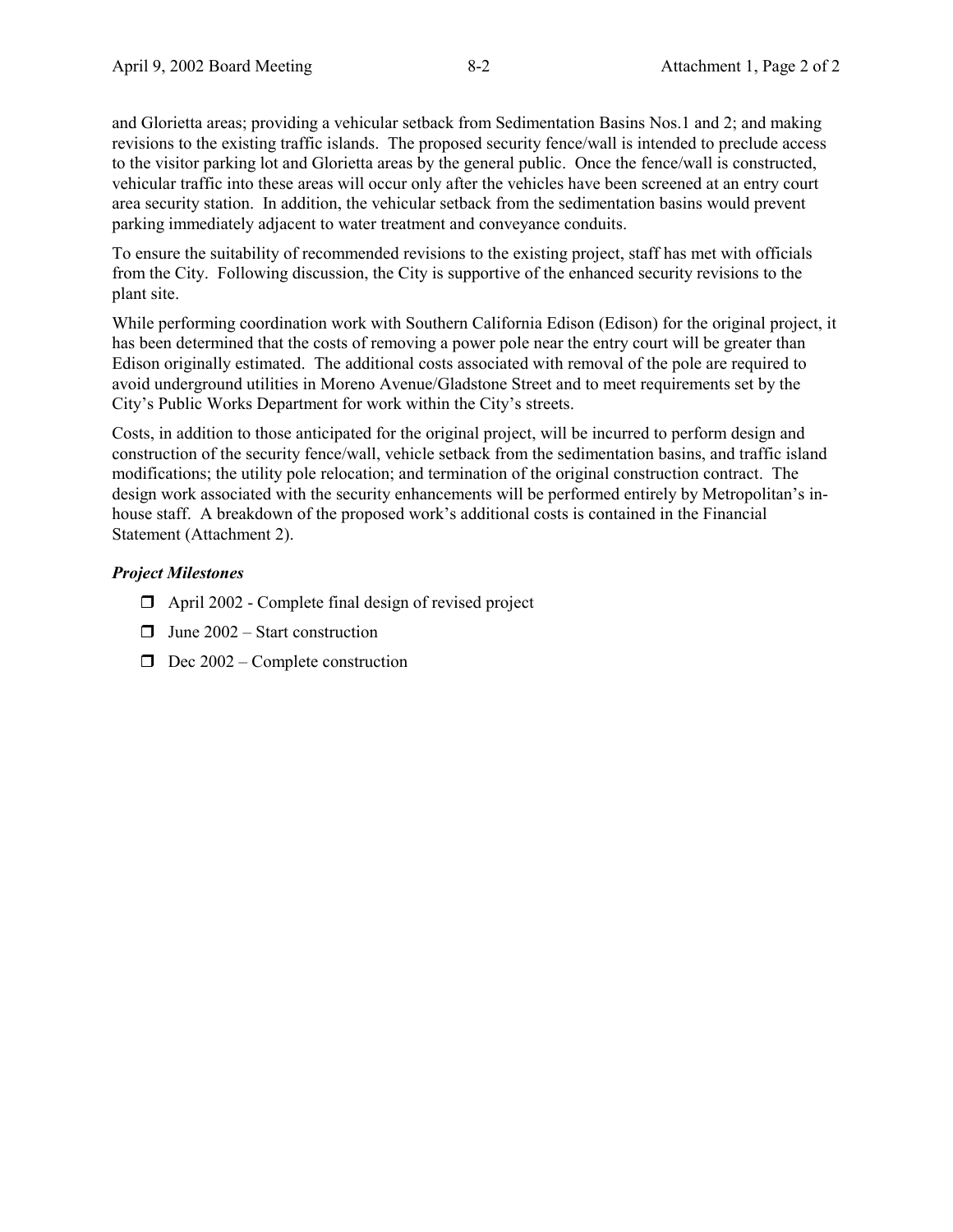and Glorietta areas; providing a vehicular setback from Sedimentation Basins Nos.1 and 2; and making revisions to the existing traffic islands. The proposed security fence/wall is intended to preclude access to the visitor parking lot and Glorietta areas by the general public. Once the fence/wall is constructed, vehicular traffic into these areas will occur only after the vehicles have been screened at an entry court area security station. In addition, the vehicular setback from the sedimentation basins would prevent parking immediately adjacent to water treatment and conveyance conduits.

To ensure the suitability of recommended revisions to the existing project, staff has met with officials from the City. Following discussion, the City is supportive of the enhanced security revisions to the plant site.

While performing coordination work with Southern California Edison (Edison) for the original project, it has been determined that the costs of removing a power pole near the entry court will be greater than Edison originally estimated. The additional costs associated with removal of the pole are required to avoid underground utilities in Moreno Avenue/Gladstone Street and to meet requirements set by the City's Public Works Department for work within the City's streets.

Costs, in addition to those anticipated for the original project, will be incurred to perform design and construction of the security fence/wall, vehicle setback from the sedimentation basins, and traffic island modifications; the utility pole relocation; and termination of the original construction contract. The design work associated with the security enhancements will be performed entirely by Metropolitan's inhouse staff. A breakdown of the proposed work's additional costs is contained in the Financial Statement (Attachment 2).

#### *Project Milestones*

- $\Box$  April 2002 Complete final design of revised project
- $\Box$  June 2002 Start construction
- $\Box$  Dec 2002 Complete construction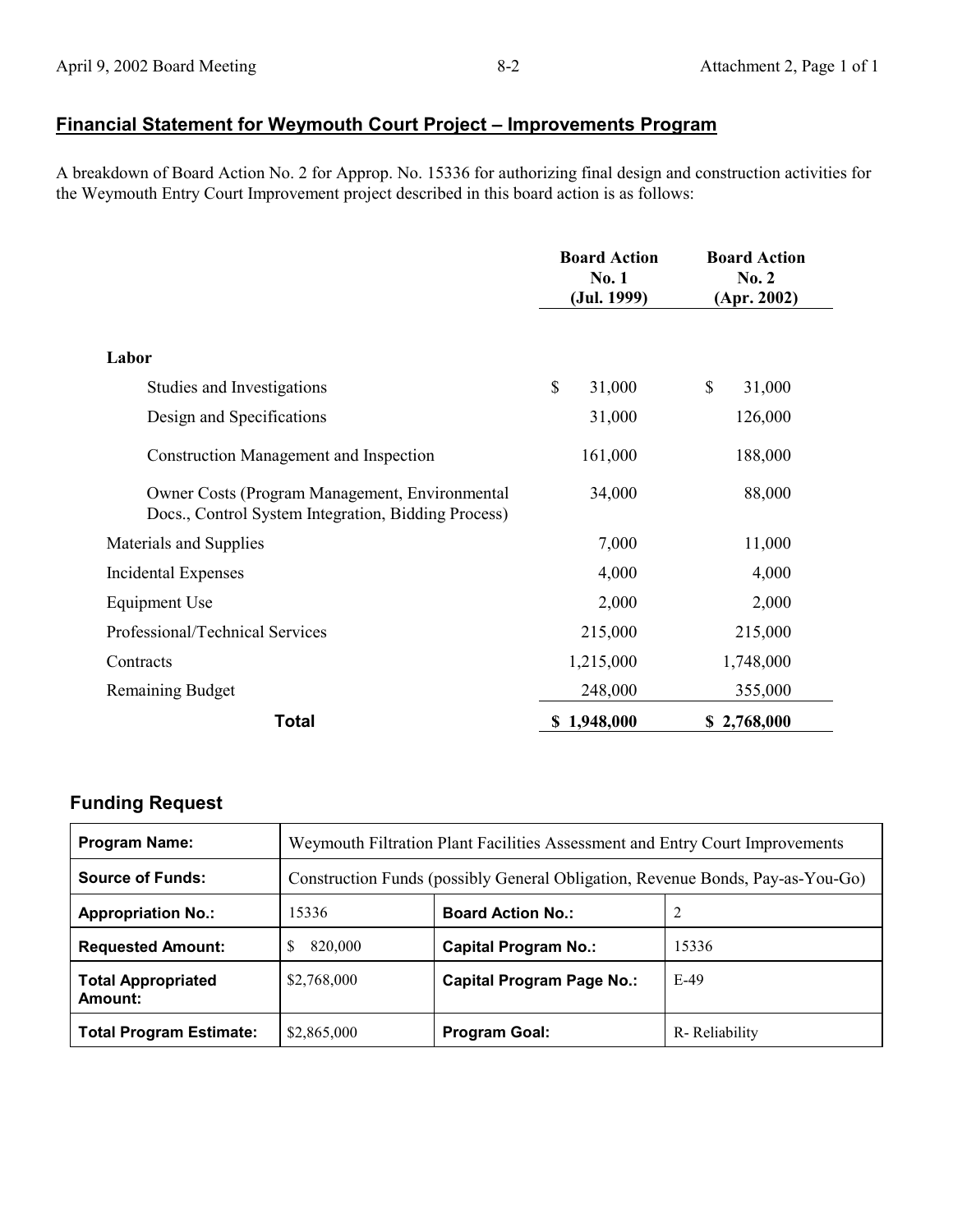# **Financial Statement for Weymouth Court Project – Improvements Program**

A breakdown of Board Action No. 2 for Approp. No. 15336 for authorizing final design and construction activities for the Weymouth Entry Court Improvement project described in this board action is as follows:

|                                                                                                       | <b>Board Action</b><br>No. 1<br>(Jul. 1999) | <b>Board Action</b><br>No. 2<br>(Apr. 2002) |
|-------------------------------------------------------------------------------------------------------|---------------------------------------------|---------------------------------------------|
| Labor                                                                                                 |                                             |                                             |
| Studies and Investigations                                                                            | \$<br>31,000                                | \$<br>31,000                                |
| 31,000<br>Design and Specifications                                                                   |                                             | 126,000                                     |
| <b>Construction Management and Inspection</b>                                                         | 161,000                                     | 188,000                                     |
| Owner Costs (Program Management, Environmental<br>Docs., Control System Integration, Bidding Process) | 34,000                                      | 88,000                                      |
| Materials and Supplies                                                                                | 7,000                                       | 11,000                                      |
| <b>Incidental Expenses</b>                                                                            | 4,000                                       | 4,000                                       |
| Equipment Use                                                                                         | 2,000                                       | 2,000                                       |
| Professional/Technical Services                                                                       | 215,000                                     | 215,000                                     |
| Contracts                                                                                             | 1,215,000                                   | 1,748,000                                   |
| <b>Remaining Budget</b>                                                                               | 248,000                                     | 355,000                                     |
| <b>Total</b>                                                                                          | \$1,948,000                                 | \$2,768,000                                 |

# **Funding Request**

| <b>Program Name:</b>                 | Weymouth Filtration Plant Facilities Assessment and Entry Court Improvements   |                             |               |
|--------------------------------------|--------------------------------------------------------------------------------|-----------------------------|---------------|
| <b>Source of Funds:</b>              | Construction Funds (possibly General Obligation, Revenue Bonds, Pay-as-You-Go) |                             |               |
| <b>Appropriation No.:</b>            | 15336                                                                          | <b>Board Action No.:</b>    |               |
| <b>Requested Amount:</b>             | S<br>820,000                                                                   | <b>Capital Program No.:</b> | 15336         |
| <b>Total Appropriated</b><br>Amount: | \$2,768,000                                                                    | Capital Program Page No.:   | E-49          |
| <b>Total Program Estimate:</b>       | \$2,865,000                                                                    | <b>Program Goal:</b>        | R-Reliability |